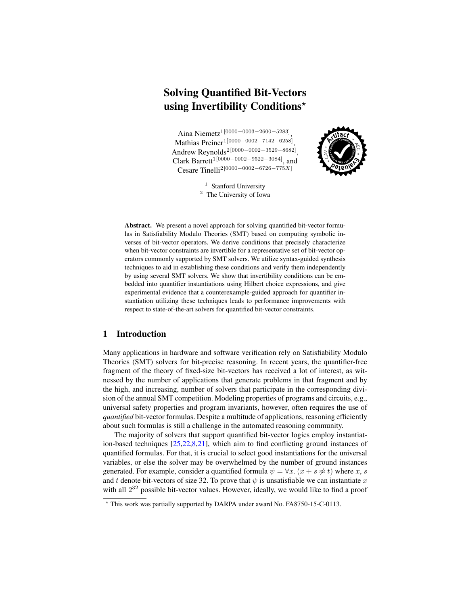# Solving Quantified Bit-Vectors using Invertibility Conditions?

Aina Niemetz1[0000−0003−2600−5283] , Mathias Preiner1[0000−0002−7142−6258] , Andrew Reynolds2[0000−0002−3529−8682] , Clark Barrett<sup>1[0000–0002–9522–3084]</sup>, and Cesare Tinelli2[0000−0002−6726−775X]



<sup>1</sup> Stanford University <sup>2</sup> The University of Iowa

Abstract. We present a novel approach for solving quantified bit-vector formulas in Satisfiability Modulo Theories (SMT) based on computing symbolic inverses of bit-vector operators. We derive conditions that precisely characterize when bit-vector constraints are invertible for a representative set of bit-vector operators commonly supported by SMT solvers. We utilize syntax-guided synthesis techniques to aid in establishing these conditions and verify them independently by using several SMT solvers. We show that invertibility conditions can be embedded into quantifier instantiations using Hilbert choice expressions, and give experimental evidence that a counterexample-guided approach for quantifier instantiation utilizing these techniques leads to performance improvements with respect to state-of-the-art solvers for quantified bit-vector constraints.

### 1 Introduction

Many applications in hardware and software verification rely on Satisfiability Modulo Theories (SMT) solvers for bit-precise reasoning. In recent years, the quantifier-free fragment of the theory of fixed-size bit-vectors has received a lot of interest, as witnessed by the number of applications that generate problems in that fragment and by the high, and increasing, number of solvers that participate in the corresponding division of the annual SMT competition. Modeling properties of programs and circuits, e.g., universal safety properties and program invariants, however, often requires the use of *quantified* bit-vector formulas. Despite a multitude of applications, reasoning efficiently about such formulas is still a challenge in the automated reasoning community.

The majority of solvers that support quantified bit-vector logics employ instantiation-based techniques [\[25](#page-17-0)[,22](#page-17-1)[,8,](#page-16-0)[21\]](#page-17-2), which aim to find conflicting ground instances of quantified formulas. For that, it is crucial to select good instantiations for the universal variables, or else the solver may be overwhelmed by the number of ground instances generated. For example, consider a quantified formula  $\psi = \forall x. (x + s \not\approx t)$  where x, s and t denote bit-vectors of size 32. To prove that  $\psi$  is unsatisfiable we can instantiate x with all  $2^{32}$  possible bit-vector values. However, ideally, we would like to find a proof

<sup>?</sup> This work was partially supported by DARPA under award No. FA8750-15-C-0113.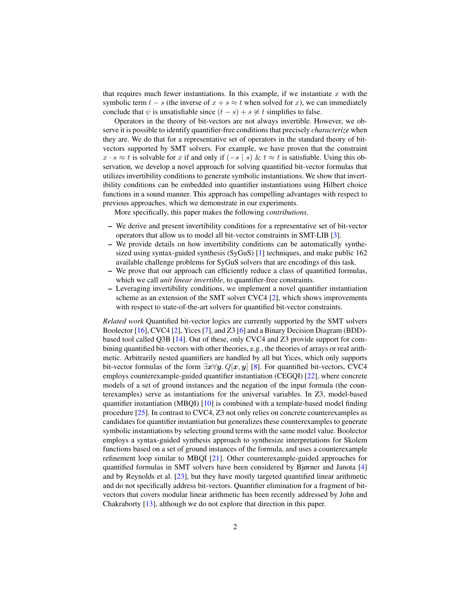that requires much fewer instantiations. In this example, if we instantiate  $x$  with the symbolic term  $t - s$  (the inverse of  $x + s \approx t$  when solved for x), we can immediately conclude that  $\psi$  is unsatisfiable since  $(t - s) + s \not\approx t$  simplifies to false.

Operators in the theory of bit-vectors are not always invertible. However, we observe it is possible to identify quantifier-free conditions that precisely *characterize* when they are. We do that for a representative set of operators in the standard theory of bitvectors supported by SMT solvers. For example, we have proven that the constraint  $x \cdot s \approx t$  is solvable for x if and only if  $(-s \mid s) \& t \approx t$  is satisfiable. Using this observation, we develop a novel approach for solving quantified bit-vector formulas that utilizes invertibility conditions to generate symbolic instantiations. We show that invertibility conditions can be embedded into quantifier instantiations using Hilbert choice functions in a sound manner. This approach has compelling advantages with respect to previous approaches, which we demonstrate in our experiments.

More specifically, this paper makes the following *contributions*.

- We derive and present invertibility conditions for a representative set of bit-vector operators that allow us to model all bit-vector constraints in SMT-LIB [\[3\]](#page-16-1).
- We provide details on how invertibility conditions can be automatically synthesized using syntax-guided synthesis (SyGuS) [\[1\]](#page-16-2) techniques, and make public 162 available challenge problems for SyGuS solvers that are encodings of this task.
- We prove that our approach can efficiently reduce a class of quantified formulas, which we call *unit linear invertible*, to quantifier-free constraints.
- Leveraging invertibility conditions, we implement a novel quantifier instantiation scheme as an extension of the SMT solver CVC4 [\[2\]](#page-16-3), which shows improvements with respect to state-of-the-art solvers for quantified bit-vector constraints.

*Related work* Quantified bit-vector logics are currently supported by the SMT solvers Boolector [\[16\]](#page-17-3), CVC4 [\[2\]](#page-16-3), Yices [\[7\]](#page-16-4), and Z3 [\[6\]](#page-16-5) and a Binary Decision Diagram (BDD) based tool called Q3B [\[14\]](#page-17-4). Out of these, only CVC4 and Z3 provide support for combining quantified bit-vectors with other theories, e.g., the theories of arrays or real arithmetic. Arbitrarily nested quantifiers are handled by all but Yices, which only supports bit-vector formulas of the form  $\exists x \forall y$ . Q[x, y] [\[8\]](#page-16-0). For quantified bit-vectors, CVC4 employs counterexample-guided quantifier instantiation (CEGQI) [\[22\]](#page-17-1), where concrete models of a set of ground instances and the negation of the input formula (the counterexamples) serve as instantiations for the universal variables. In Z3, model-based quantifier instantiation (MBQI) [\[10\]](#page-16-6) is combined with a template-based model finding procedure [\[25\]](#page-17-0). In contrast to CVC4, Z3 not only relies on concrete counterexamples as candidates for quantifier instantiation but generalizes these counterexamples to generate symbolic instantiations by selecting ground terms with the same model value. Boolector employs a syntax-guided synthesis approach to synthesize interpretations for Skolem functions based on a set of ground instances of the formula, and uses a counterexample refinement loop similar to MBQI [\[21\]](#page-17-2). Other counterexample-guided approaches for quantified formulas in SMT solvers have been considered by Bjørner and Janota [\[4\]](#page-16-7) and by Reynolds et al. [\[23\]](#page-17-5), but they have mostly targeted quantified linear arithmetic and do not specifically address bit-vectors. Quantifier elimination for a fragment of bitvectors that covers modular linear arithmetic has been recently addressed by John and Chakraborty [\[13\]](#page-17-6), although we do not explore that direction in this paper.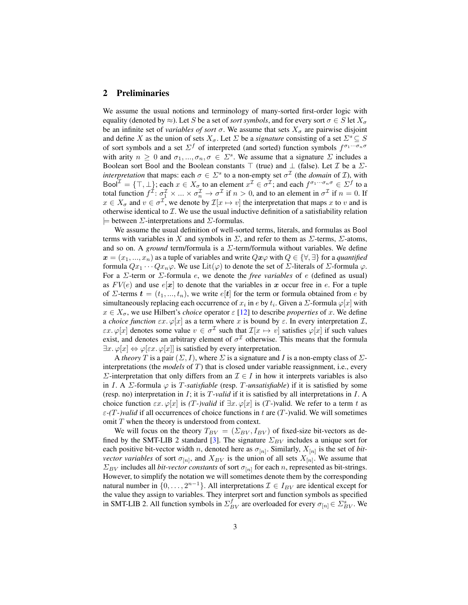### 2 Preliminaries

We assume the usual notions and terminology of many-sorted first-order logic with equality (denoted by  $\approx$ ). Let S be a set of *sort symbols*, and for every sort  $\sigma \in S$  let  $X_{\sigma}$ be an infinite set of *variables of sort*  $\sigma$ . We assume that sets  $X_{\sigma}$  are pairwise disjoint and define X as the union of sets  $X_{\sigma}$ . Let  $\Sigma$  be a *signature* consisting of a set  $\Sigma^s \subseteq S$ of sort symbols and a set  $\Sigma^f$  of interpreted (and sorted) function symbols  $f^{\sigma_1\cdots\sigma_n\sigma}$ with arity  $n \geq 0$  and  $\sigma_1, ..., \sigma_n, \sigma \in \Sigma^s$ . We assume that a signature  $\Sigma$  includes a Boolean sort Bool and the Boolean constants  $\top$  (true) and  $\bot$  (false). Let *I* be a *Σinterpretation* that maps: each  $\sigma \in \Sigma^s$  to a non-empty set  $\sigma^{\mathcal{I}}$  (the *domain* of *T*), with Bool $\mathcal{I} = \{\top, \bot\}$ ; each  $x \in X_{\sigma}$  to an element  $x^{\mathcal{I}} \in \sigma^{\mathcal{I}}$ ; and each  $f^{\sigma_1 \cdots \sigma_n \sigma} \in \Sigma^f$  to a total function  $f^{\mathcal{I}}: \sigma_1^{\mathcal{I}} \times ... \times \sigma_n^{\mathcal{I}} \to \sigma^{\mathcal{I}}$  if  $n > 0$ , and to an element in  $\sigma^{\mathcal{I}}$  if  $n = 0$ . If  $x \in X_{\sigma}$  and  $v \in \sigma^{\mathcal{I}}$ , we denote by  $\mathcal{I}[x \mapsto v]$  the interpretation that maps x to v and is otherwise identical to  $\mathcal I$ . We use the usual inductive definition of a satisfiability relation  $\models$  between  $\Sigma$ -interpretations and  $\Sigma$ -formulas.

We assume the usual definition of well-sorted terms, literals, and formulas as Bool terms with variables in X and symbols in  $\Sigma$ , and refer to them as  $\Sigma$ -terms,  $\Sigma$ -atoms, and so on. A *ground* term/formula is a Σ-term/formula without variables. We define  $x = (x_1, ..., x_n)$  as a tuple of variables and write  $Qx\varphi$  with  $Q \in \{\forall, \exists\}$  for a *quantified* formula  $Qx_1 \cdots Qx_n \varphi$ . We use  $\text{Lit}(\varphi)$  to denote the set of  $\Sigma$ -literals of  $\Sigma$ -formula  $\varphi$ . For a Σ-term or Σ-formula e, we denote the *free variables* of e (defined as usual) as  $FV(e)$  and use  $e[x]$  to denote that the variables in x occur free in e. For a tuple of  $\Sigma$ -terms  $\mathbf{t} = (t_1, ..., t_n)$ , we write  $e[\mathbf{t}]$  for the term or formula obtained from e by simultaneously replacing each occurrence of  $x_i$  in  $e$  by  $t_i.$  Given a  $\Sigma$ -formula  $\varphi[x]$  with  $x \in X_{\sigma}$ , we use Hilbert's *choice* operator  $\varepsilon$  [\[12\]](#page-17-7) to describe *properties* of x. We define a *choice function*  $\epsilon x.\varphi[x]$  as a term where x is bound by  $\epsilon$ . In every interpretation  $\mathcal{I}$ ,  $\epsilon x.\varphi[x]$  denotes some value  $v \in \sigma^{\mathcal{I}}$  such that  $\mathcal{I}[x \mapsto v]$  satisfies  $\varphi[x]$  if such values exist, and denotes an arbitrary element of  $\sigma^{\mathcal{I}}$  otherwise. This means that the formula  $\exists x. \varphi[x] \Leftrightarrow \varphi[\varepsilon x. \varphi[x]]$  is satisfied by every interpretation.

A *theory* T is a pair  $(\Sigma, I)$ , where  $\Sigma$  is a signature and I is a non-empty class of  $\Sigma$ interpretations (the *models* of T) that is closed under variable reassignment, i.e., every  $\Sigma$ -interpretation that only differs from an  $\mathcal{I} \in I$  in how it interprets variables is also in I. A  $\Sigma$ -formula  $\varphi$  is T-*satisfiable* (resp. T-*unsatisfiable*) if it is satisfied by some (resp. no) interpretation in I; it is T*-valid* if it is satisfied by all interpretations in I. A choice function  $\epsilon x.\varphi[x]$  is *(T-)valid* if  $\exists x.\varphi[x]$  is *(T-)valid.* We refer to a term t as ε*-(*T*-)valid* if all occurrences of choice functions in t are (T-)valid. We will sometimes omit T when the theory is understood from context.

We will focus on the theory  $T_{BV} = (\Sigma_{BV}, I_{BV})$  of fixed-size bit-vectors as de-fined by the SMT-LIB 2 standard [\[3\]](#page-16-1). The signature  $\Sigma_{BV}$  includes a unique sort for each positive bit-vector width *n*, denoted here as  $\sigma_{[n]}$ . Similarly,  $X_{[n]}$  is the set of *bitvector variables* of sort  $\sigma_{[n]}$ , and  $X_{BV}$  is the union of all sets  $X_{[n]}$ . We assume that  $\Sigma_{BV}$  includes all *bit-vector constants* of sort  $\sigma_{[n]}$  for each *n*, represented as bit-strings. However, to simplify the notation we will sometimes denote them by the corresponding natural number in  $\{0, \ldots, 2^{n-1}\}$ . All interpretations  $\mathcal{I} \in I_{BV}$  are identical except for the value they assign to variables. They interpret sort and function symbols as specified in SMT-LIB 2. All function symbols in  $\Sigma_{BV}^f$  are overloaded for every  $\sigma_{[n]} \in \Sigma_{BV}^s$ . We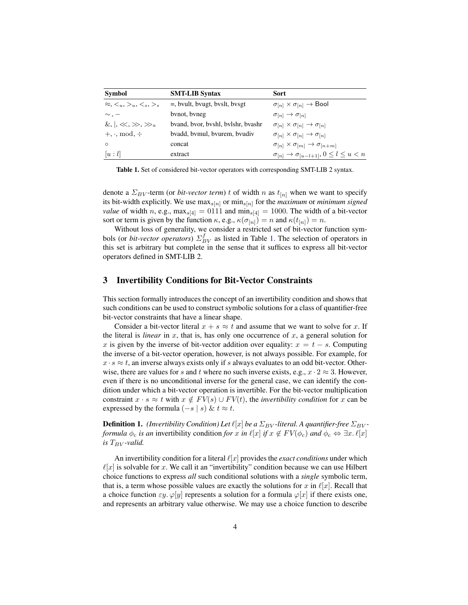| <b>Symbol</b>                                     | <b>SMT-LIB Syntax</b>              | <b>Sort</b>                                                      |
|---------------------------------------------------|------------------------------------|------------------------------------------------------------------|
| $\approx$ , $\lt_u$ , $\gt_u$ , $\lt_s$ , $\gt_s$ | $=$ , byult, byugt, byslt, bysgt   | $\sigma_{[n]} \times \sigma_{[n]} \rightarrow$ Bool              |
| $\sim$ . $-$                                      | bynot, byneg                       | $\sigma_{[n]} \rightarrow \sigma_{[n]}$                          |
| $\&,  , \ll, \gg, \gg_a$                          | byand, byor, byshl, bylshr, byashr | $\sigma_{[n]} \times \sigma_{[n]} \rightarrow \sigma_{[n]}$      |
| $+, \cdot, \text{mod.} \div$                      | byadd, bymul, byurem, byudiv       | $\sigma_{[n]} \times \sigma_{[n]} \rightarrow \sigma_{[n]}$      |
| $\circ$                                           | concat                             | $\sigma_{[n]} \times \sigma_{[m]} \rightarrow \sigma_{[n+m]}$    |
| u: l                                              | extract                            | $\sigma_{[n]} \rightarrow \sigma_{[u-l+1]}, 0 \leq l \leq u < n$ |

<span id="page-3-0"></span>Table 1. Set of considered bit-vector operators with corresponding SMT-LIB 2 syntax.

denote a  $\Sigma_{BV}$ -term (or *bit-vector term*) t of width n as  $t_{[n]}$  when we want to specify its bit-width explicitly. We use  $\max_{s[n]}$  or  $\min_{s[n]}$  for the *maximum* or *minimum signed value* of width n, e.g.,  $max_{s[4]} = 0111$  and  $min_{s[4]} = 1000$ . The width of a bit-vector sort or term is given by the function  $\kappa$ , e.g.,  $\kappa(\sigma_{[n]}) = n$  and  $\kappa(t_{[n]}) = n$ .

Without loss of generality, we consider a restricted set of bit-vector function symbols (or *bit-vector operators*)  $\Sigma_{BV}^f$  as listed in Table [1.](#page-3-0) The selection of operators in this set is arbitrary but complete in the sense that it suffices to express all bit-vector operators defined in SMT-LIB 2.

#### <span id="page-3-1"></span>3 Invertibility Conditions for Bit-Vector Constraints

This section formally introduces the concept of an invertibility condition and shows that such conditions can be used to construct symbolic solutions for a class of quantifier-free bit-vector constraints that have a linear shape.

Consider a bit-vector literal  $x + s \approx t$  and assume that we want to solve for x. If the literal is *linear* in  $x$ , that is, has only one occurrence of  $x$ , a general solution for x is given by the inverse of bit-vector addition over equality:  $x = t - s$ . Computing the inverse of a bit-vector operation, however, is not always possible. For example, for  $x \cdot s \approx t$ , an inverse always exists only if s always evaluates to an odd bit-vector. Otherwise, there are values for s and t where no such inverse exists, e.g.,  $x \cdot 2 \approx 3$ . However, even if there is no unconditional inverse for the general case, we can identify the condition under which a bit-vector operation is invertible. For the bit-vector multiplication constraint  $x \cdot s \approx t$  with  $x \notin FV(s) \cup FV(t)$ , the *invertibility condition* for x can be expressed by the formula  $(-s \mid s) \& t \approx t$ .

**Definition 1.** *(Invertibility Condition) Let*  $\ell[x]$  *be a*  $\Sigma_{BV}$ -literal. A quantifier-free  $\Sigma_{BV}$ *formula*  $\phi_c$  *is an* invertibility condition *for* x *in*  $\ell[x]$  *if*  $x \notin FV(\phi_c)$  *and*  $\phi_c \Leftrightarrow \exists x. \ell[x]$ *is*  $T_{BV}$ *-valid.* 

An invertibility condition for a literal  $\ell[x]$  provides the *exact conditions* under which  $\ell[x]$  is solvable for x. We call it an "invertibility" condition because we can use Hilbert choice functions to express *all* such conditional solutions with a *single* symbolic term, that is, a term whose possible values are exactly the solutions for x in  $\ell[x]$ . Recall that a choice function  $\varepsilon y$ .  $\varphi[y]$  represents a solution for a formula  $\varphi[x]$  if there exists one, and represents an arbitrary value otherwise. We may use a choice function to describe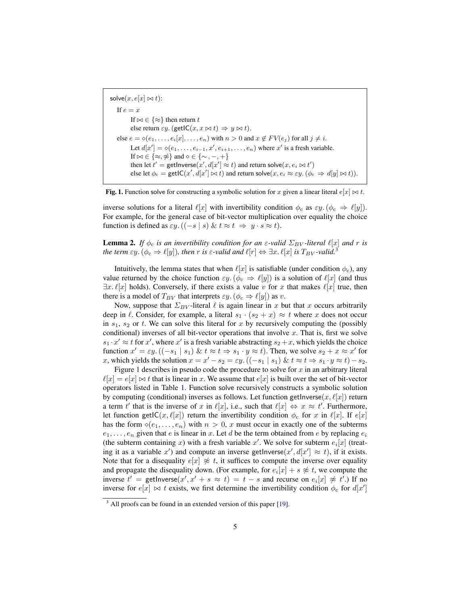solve $(x, e[x] \bowtie t)$ : If  $e = x$ If  $\bowtie \in \{\approx\}$  then return t else return  $\varepsilon y$ . (getIC $(x, x \bowtie t) \Rightarrow y \bowtie t$ ). else  $e = \diamond(e_1, \ldots, e_i[x], \ldots, e_n)$  with  $n > 0$  and  $x \notin FV(e_i)$  for all  $j \neq i$ . Let  $d[x'] = \diamond (e_1, \ldots, e_{i-1}, x', e_{i+1}, \ldots, e_n)$  where  $x'$  is a fresh variable. If  $\bowtie \in \{\approx, \neq\}$  and  $\diamond \in \{\sim, -, +\}$ then let  $t' = \text{getInverse}(x', d[x'] \approx t)$  and return solve $(x, e_i \bowtie t')$ else let  $\phi_c = \text{getIC}(x', d[x'] \bowtie t)$  and return solve $(x, e_i \approx \varepsilon y. (\phi_c \Rightarrow d[y] \bowtie t)).$ 

<span id="page-4-1"></span>Fig. 1. Function solve for constructing a symbolic solution for x given a linear literal  $e[x] \bowtie t$ .

inverse solutions for a literal  $\ell[x]$  with invertibility condition  $\phi_c$  as  $\varepsilon y$ .  $(\phi_c \Rightarrow \ell[y])$ . For example, for the general case of bit-vector multiplication over equality the choice function is defined as  $\varepsilon y$ .  $((-s \mid s) \& t \approx t \Rightarrow y \cdot s \approx t)$ .

**Lemma 2.** *If*  $\phi_c$  *is an invertibility condition for an*  $\varepsilon$ -valid  $\Sigma_{BV}$ -literal  $\ell[x]$  and r is *the term*  $\varepsilon y$ . ( $\phi_c \Rightarrow \ell[y]$ ), then r is  $\varepsilon$ -valid and  $\ell[r] \Leftrightarrow \exists x$ .  $\ell[x]$  is  $T_{BV}$ -valid.<sup>[3](#page-4-0)</sup>

Intuitively, the lemma states that when  $\ell[x]$  is satisfiable (under condition  $\phi_c$ ), any value returned by the choice function  $\varepsilon y$ . ( $\phi_c \Rightarrow \ell[y]$ ) is a solution of  $\ell[x]$  (and thus  $\exists x. \ell[x]$  holds). Conversely, if there exists a value v for x that makes  $\ell[x]$  true, then there is a model of  $T_{BV}$  that interprets  $\varepsilon y$ .  $(\phi_c \Rightarrow \ell[y])$  as v.

Now, suppose that  $\Sigma_{BV}$ -literal  $\ell$  is again linear in x but that x occurs arbitrarily deep in  $\ell$ . Consider, for example, a literal  $s_1 \cdot (s_2 + x) \approx t$  where x does not occur in  $s_1$ ,  $s_2$  or t. We can solve this literal for x by recursively computing the (possibly conditional) inverses of all bit-vector operations that involve x. That is, first we solve  $s_1 \cdot x' \approx t$  for  $x'$ , where  $x'$  is a fresh variable abstracting  $s_2 + x$ , which yields the choice function  $x' = \varepsilon y$ .  $((-s_1 | s_1) \& t \approx t \Rightarrow s_1 \cdot y \approx t)$ . Then, we solve  $s_2 + x \approx x'$  for x, which yields the solution  $x = x' - s_2 = \varepsilon y$ .  $((-s_1 | s_1) \& t \approx t \Rightarrow s_1 \cdot y \approx t) - s_2$ .

Figure [1](#page-4-1) describes in pseudo code the procedure to solve for  $x$  in an arbitrary literal  $\ell[x] = e[x] \bowtie t$  that is linear in x. We assume that  $e[x]$  is built over the set of bit-vector operators listed in Table [1.](#page-3-0) Function solve recursively constructs a symbolic solution by computing (conditional) inverses as follows. Let function getInverse $(x, \ell[x])$  return a term t' that is the inverse of x in  $\ell[x]$ , i.e., such that  $\ell[x] \Leftrightarrow x \approx t'$ . Furthermore, let function getIC(x,  $\ell[x]$ ) return the invertibility condition  $\phi_c$  for x in  $\ell[x]$ . If  $e[x]$ has the form  $\diamond(e_1, \ldots, e_n)$  with  $n > 0$ , x must occur in exactly one of the subterms  $e_1, \ldots, e_n$  given that e is linear in x. Let d be the term obtained from e by replacing  $e_i$ (the subterm containing x) with a fresh variable x'. We solve for subterm  $e_i[x]$  (treating it as a variable  $x'$ ) and compute an inverse getInverse $(x', d[x'] \approx t)$ , if it exists. Note that for a disequality  $e[x] \not\approx t$ , it suffices to compute the inverse over equality and propagate the disequality down. (For example, for  $e_i[x] + s \not\approx t$ , we compute the inverse  $t' =$  getInverse $(x', x' + s \approx t) = t - s$  and recurse on  $e_i[x] \not\approx t'$ .) If no inverse for  $e[x] \bowtie t$  exists, we first determine the invertibility condition  $\phi_c$  for  $d[x']$ 

<span id="page-4-0"></span> $3$  All proofs can be found in an extended version of this paper [\[19\]](#page-17-8).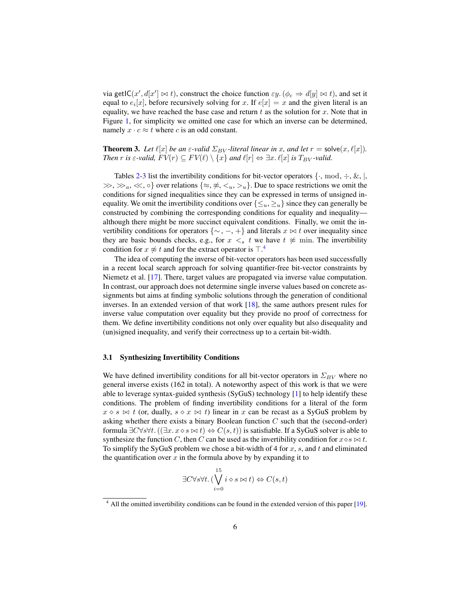via getIC(x',  $d[x'] \bowtie t$ ), construct the choice function  $\varepsilon y$ . ( $\phi_c \Rightarrow d[y] \bowtie t$ ), and set it equal to  $e_i[x]$ , before recursively solving for x. If  $e[x] = x$  and the given literal is an equality, we have reached the base case and return  $t$  as the solution for  $x$ . Note that in Figure [1,](#page-4-1) for simplicity we omitted one case for which an inverse can be determined, namely  $x \cdot c \approx t$  where c is an odd constant.

**Theorem 3.** Let  $\ell[x]$  be an  $\varepsilon$ -valid  $\Sigma_{BV}$ -literal linear in x, and let  $r = \text{solve}(x, \ell[x])$ . *Then* r *is*  $\varepsilon$ -valid,  $FV(r) \subseteq FV(\ell) \setminus \{x\}$  and  $\ell[r] \Leftrightarrow \exists x. \ell[x]$  *is*  $T_{BV}$ -valid.

Tables [2](#page-6-0)[-3](#page-7-0) list the invertibility conditions for bit-vector operators  $\{\cdot, \text{ mod}, \div, \&, \cdot\}$ ,  $\gg, \gg_a, \ll, \circ$  over relations  $\{\approx, \not\approx, \lt_u, \gt_u\}$ . Due to space restrictions we omit the conditions for signed inequalities since they can be expressed in terms of unsigned inequality. We omit the invertibility conditions over  $\{\leq_u,\geq_u\}$  since they can generally be constructed by combining the corresponding conditions for equality and inequality although there might be more succinct equivalent conditions. Finally, we omit the invertibility conditions for operators  $\{\sim, -, +\}$  and literals  $x \bowtie t$  over inequality since they are basic bounds checks, e.g., for  $x \leq s$  t we have  $t \not\approx$  min. The invertibility condition for  $x \not\approx t$  and for the extract operator is  $\top$ .<sup>[4](#page-5-0)</sup>

The idea of computing the inverse of bit-vector operators has been used successfully in a recent local search approach for solving quantifier-free bit-vector constraints by Niemetz et al. [\[17\]](#page-17-9). There, target values are propagated via inverse value computation. In contrast, our approach does not determine single inverse values based on concrete assignments but aims at finding symbolic solutions through the generation of conditional inverses. In an extended version of that work  $[18]$ , the same authors present rules for inverse value computation over equality but they provide no proof of correctness for them. We define invertibility conditions not only over equality but also disequality and (un)signed inequality, and verify their correctness up to a certain bit-width.

#### 3.1 Synthesizing Invertibility Conditions

We have defined invertibility conditions for all bit-vector operators in  $\Sigma_{BV}$  where no general inverse exists (162 in total). A noteworthy aspect of this work is that we were able to leverage syntax-guided synthesis (SyGuS) technology [\[1\]](#page-16-2) to help identify these conditions. The problem of finding invertibility conditions for a literal of the form  $x \diamond s \Join t$  (or, dually,  $s \diamond x \Join t$ ) linear in x can be recast as a SyGuS problem by asking whether there exists a binary Boolean function  $C$  such that the (second-order) formula  $\exists C\forall s\forall t. ((\exists x. x \diamond s \Join t) \Leftrightarrow C(s, t))$  is satisfiable. If a SyGuS solver is able to synthesize the function C, then C can be used as the invertibility condition for  $x \diamond s \bowtie t$ . To simplify the SyGuS problem we chose a bit-width of 4 for  $x$ ,  $s$ , and  $t$  and eliminated the quantification over  $x$  in the formula above by by expanding it to

$$
\exists C \forall s \forall t. (\bigvee_{i=0}^{15} i \diamond s \bowtie t) \Leftrightarrow C(s, t)
$$

<span id="page-5-0"></span><sup>&</sup>lt;sup>4</sup> All the omitted invertibility conditions can be found in the extended version of this paper [\[19\]](#page-17-8).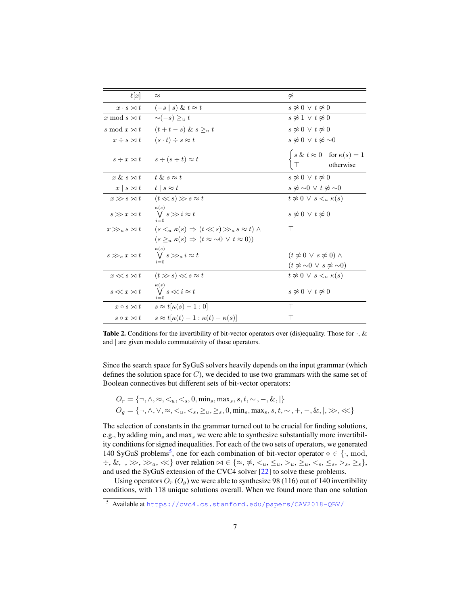| $\ell[x]$                                     | $\approx$                                                              | ≉                                                                                                     |
|-----------------------------------------------|------------------------------------------------------------------------|-------------------------------------------------------------------------------------------------------|
| $x \cdot s \bowtie t$                         | $(-s s) \& t \approx t$                                                | $s \not\approx 0 \vee t \not\approx 0$                                                                |
| x mod $s \bowtie t$                           | $\sim(-s) >_{u} t$                                                     | $s \approx 1 \vee t \approx 0$                                                                        |
| s mod $x \bowtie t$                           | $(t+t-s) \& s \geq_u t$                                                | $s \approx 0 \vee t \approx 0$                                                                        |
| $x \div s \bowtie t$                          | $(s \cdot t) \div s \approx t$                                         | $s \approx 0 \vee t \approx 0$                                                                        |
|                                               | $s \div x \bowtie t$ $s \div (s \div t) \approx t$                     | $\int s \& t \approx 0 \quad \text{for } \kappa(s) = 1$<br>otherwise                                  |
| $x \& s \bowtie t$                            | $t \& s \approx t$                                                     | $s \not\approx 0 \vee t \not\approx 0$                                                                |
| $x \mid s \bowtie t \quad t \mid s \approx t$ |                                                                        | $s \not\approx \sim 0 \vee t \not\approx \sim 0$                                                      |
| $x \gg s \bowtie t$                           | $(t \ll s) \gg s \approx t$                                            | $t \approx 0 \vee s \lt u \kappa(s)$                                                                  |
| $s \gg x \bowtie t$                           | $\kappa(s)$<br>$\bigvee s \gg i \approx t$<br>$i=0$                    | $s \approx 0 \vee t \approx 0$                                                                        |
| $x \gg_a s \bowtie t$                         | $(s \leq u \kappa(s)) \Rightarrow (t \ll s) \gg_a s \approx t) \wedge$ | Τ                                                                                                     |
|                                               | $(s \geq_u \kappa(s) \Rightarrow (t \approx \sim 0 \vee t \approx 0))$ |                                                                                                       |
| $s \gg_a x \bowtie t$                         | $\kappa(s)$<br>$\bigvee s\gg_a i\approx t$                             | $(t \not\approx 0 \vee s \not\approx 0) \wedge$<br>$(t \not\approx \sim 0 \vee s \not\approx \sim 0)$ |
| $x \ll s \bowtie t$                           | $(t \gg s) \ll s \approx t$                                            | $t \not\approx 0 \vee s \leq u \kappa(s)$                                                             |
| $s \ll x \bowtie t$                           | $\kappa(s)$<br>$\bigvee s \ll i \approx t$                             | $s \approx 0 \vee t \approx 0$                                                                        |
|                                               | $x \circ s \bowtie t$ $s \approx t[\kappa(s)-1:0]$                     | $\top$                                                                                                |
| $s \circ x \bowtie t$                         | $s \approx t[\kappa(t)-1:\kappa(t)-\kappa(s)]$                         | т                                                                                                     |

<span id="page-6-0"></span>**Table 2.** Conditions for the invertibility of bit-vector operators over (dis)equality. Those for  $\cdot$ , & and | are given modulo commutativity of those operators.

Since the search space for SyGuS solvers heavily depends on the input grammar (which defines the solution space for  $C$ ), we decided to use two grammars with the same set of Boolean connectives but different sets of bit-vector operators:

$$
O_r = \{\neg, \land, \approx, \lt_k, \lt_s, 0, \min_s, \max_s, s, t, \sim, -, \&, \}\
$$
  

$$
O_g = \{\neg, \land, \lor, \approx, \lt_k, \lt_s, \gt_k, \gt_k, 0, \min_s, \max_s, s, t, \sim, +, -, \&, |, \gg, \ll\}
$$

The selection of constants in the grammar turned out to be crucial for finding solutions, e.g., by adding  $\min_s$  and  $\max_s$  we were able to synthesize substantially more invertibility conditions for signed inequalities. For each of the two sets of operators, we generated 140 SyGuS problems<sup>[5](#page-6-1)</sup>, one for each combination of bit-vector operator  $\diamond \in \{\cdot, \text{mod},\}$  $\div, \&, |, \gg, \gg_a, \ll \}$  over relation  $\bowtie \in \{\approx, \not\approx, \lt_u, \leq_u, \gt_u, \gt_u, \lt_s, \lt_s, \gt_s, \gt_s, \gt_s\}$ , and used the SyGuS extension of the CVC4 solver [\[22\]](#page-17-1) to solve these problems.

Using operators  $O_r (O_q)$  we were able to synthesize 98 (116) out of 140 invertibility conditions, with 118 unique solutions overall. When we found more than one solution

<span id="page-6-1"></span><sup>5</sup> Available at <https://cvc4.cs.stanford.edu/papers/CAV2018-QBV/>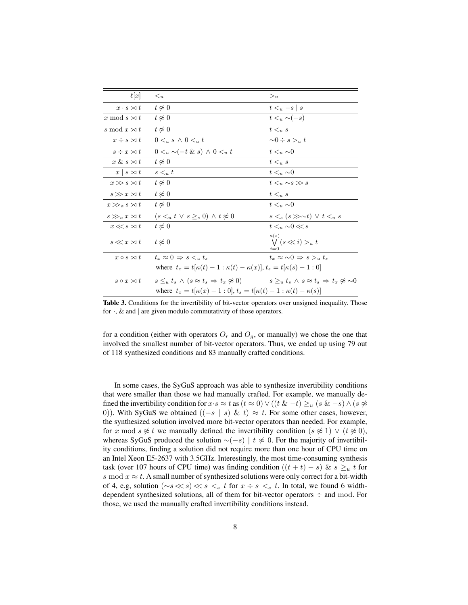| $\ell[x]$                         | $\lt_u$                                                                                                                               | $>_u$                                                 |
|-----------------------------------|---------------------------------------------------------------------------------------------------------------------------------------|-------------------------------------------------------|
| $x \cdot s \bowtie t$             | $t \approx 0$                                                                                                                         | $t \leq u - s \mid s$                                 |
| x mod $s \bowtie t$               | $t \approx 0$                                                                                                                         | $t \lt_u \sim (-s)$                                   |
| s mod $x \bowtie t$               | $t \approx 0$                                                                                                                         | $t \leq u s$                                          |
| $x \div s \bowtie t$              | $0 \lt u s \wedge 0 \lt u t$                                                                                                          | $\sim 0 \div s >_u t$                                 |
| $s \div x \bowtie t$              | $0 \lt_u \sim (-t \& s) \land 0 \lt_u t$                                                                                              | $t \leq u \sim 0$                                     |
| $x \& s \bowtie t$                | $t \approx 0$                                                                                                                         | $t \leq u$ s                                          |
| $x \mid s \bowtie t$              | $s \lt u t$                                                                                                                           | $t \leq u \sim 0$                                     |
| $x \gg s \bowtie t$               | $t \approx 0$                                                                                                                         | $t \leq u \sim s \gg s$                               |
| $s \gg x \bowtie t$               | $t \approx 0$                                                                                                                         | $t \leq u s$                                          |
| $x \gg_a s \bowtie t$             | $t \approx 0$                                                                                                                         | $t \leq u \sim 0$                                     |
| $s \gg_a x \bowtie t$             | $(s \leq_u t \vee s \geq_s 0) \wedge t \neq 0$                                                                                        | $s \leq_s (s \gg \sim t) \vee t \leq_u s$             |
| $x \ll s \bowtie t$               | $t \approx 0$                                                                                                                         | $t \leq u$ ~0 $\ll s$                                 |
| $s \ll x \bowtie t$ $t \approx 0$ |                                                                                                                                       | $\kappa(s)$<br>$\bigvee$ $(s \ll i) >_u t$<br>$i = 0$ |
| $x \circ s \bowtie t$             | $t_{\infty} \approx 0 \Rightarrow s \leq u t_{\infty}$                                                                                | $t_r \approx \sim 0 \Rightarrow s > u t_s$            |
|                                   | where $t_x = t[\kappa(t) - 1 : \kappa(t) - \kappa(x)], t_s = t[\kappa(s) - 1 : 0]$                                                    |                                                       |
| $s \circ x \bowtie t$             | $s \leq_u t_s \wedge (s \approx t_s \Rightarrow t_x \not\approx 0)$ $s \geq_u t_s \wedge s \approx t_s \Rightarrow t_x \not\approx 0$ |                                                       |
|                                   | where $t_x = t[\kappa(x) - 1:0], t_s = t[\kappa(t) - 1: \kappa(t) - \kappa(s)]$                                                       |                                                       |

<span id="page-7-0"></span>Table 3. Conditions for the invertibility of bit-vector operators over unsigned inequality. Those for  $\cdot$ , & and | are given modulo commutativity of those operators.

for a condition (either with operators  $O_r$  and  $O_g$ , or manually) we chose the one that involved the smallest number of bit-vector operators. Thus, we ended up using 79 out of 118 synthesized conditions and 83 manually crafted conditions.

In some cases, the SyGuS approach was able to synthesize invertibility conditions that were smaller than those we had manually crafted. For example, we manually defined the invertibility condition for  $x \cdot s \approx t$  as  $(t \approx 0) \vee ((t \& -t) \geq u (s \& -s) \wedge (s \not\approx$ 0)). With SyGuS we obtained  $((-s \mid s) \& t) \approx t$ . For some other cases, however, the synthesized solution involved more bit-vector operators than needed. For example, for x mod s  $\not\approx t$  we manually defined the invertibility condition  $(s \not\approx 1) \vee (t \not\approx 0)$ , whereas SyGuS produced the solution  $\sim(-s)$  | t  $\not\approx$  0. For the majority of invertibility conditions, finding a solution did not require more than one hour of CPU time on an Intel Xeon E5-2637 with 3.5GHz. Interestingly, the most time-consuming synthesis task (over 107 hours of CPU time) was finding condition  $((t + t) - s) \& s \geq u t$  for s mod  $x \approx t$ . A small number of synthesized solutions were only correct for a bit-width of 4, e.g, solution ( $\sim$ s  $\ll$  s) $\ll$  s  $\lt$  s t for x ÷ s  $\lt$  s t. In total, we found 6 widthdependent synthesized solutions, all of them for bit-vector operators ÷ and mod. For those, we used the manually crafted invertibility conditions instead.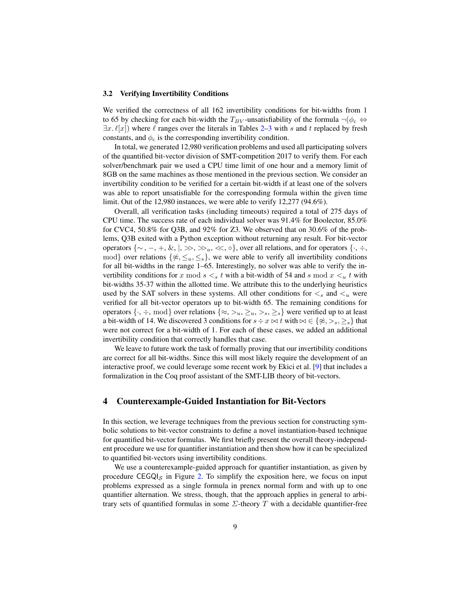#### 3.2 Verifying Invertibility Conditions

We verified the correctness of all 162 invertibility conditions for bit-widths from 1 to 65 by checking for each bit-width the  $T_{BV}$ -unsatisfiability of the formula  $\neg(\phi_c \Leftrightarrow$  $\exists x.\ell |x|$ ) where  $\ell$  ranges over the literals in Tables [2–](#page-6-0)[3](#page-7-0) with s and t replaced by fresh constants, and  $\phi_c$  is the corresponding invertibility condition.

In total, we generated 12,980 verification problems and used all participating solvers of the quantified bit-vector division of SMT-competition 2017 to verify them. For each solver/benchmark pair we used a CPU time limit of one hour and a memory limit of 8GB on the same machines as those mentioned in the previous section. We consider an invertibility condition to be verified for a certain bit-width if at least one of the solvers was able to report unsatisfiable for the corresponding formula within the given time limit. Out of the 12,980 instances, we were able to verify 12,277 (94.6%).

Overall, all verification tasks (including timeouts) required a total of 275 days of CPU time. The success rate of each individual solver was 91.4% for Boolector, 85.0% for CVC4, 50.8% for Q3B, and 92% for Z3. We observed that on 30.6% of the problems, Q3B exited with a Python exception without returning any result. For bit-vector operators  $\{\sim, -, +, \&, |, \gg, \gg_a, \ll, \circ\}$ , over all relations, and for operators  $\{\cdot, \div, \circ\}$ mod} over relations  $\{\nless, \leq_u, \leq_s\}$ , we were able to verify all invertibility conditions for all bit-widths in the range 1–65. Interestingly, no solver was able to verify the invertibility conditions for x mod  $s \lt s$  t with a bit-width of 54 and s mod  $x \lt u$  t with bit-widths 35-37 within the allotted time. We attribute this to the underlying heuristics used by the SAT solvers in these systems. All other conditions for  $\lt_s$  and  $\lt_u$  were verified for all bit-vector operators up to bit-width 65. The remaining conditions for operators  $\{\cdot, \div, \text{mod}\}$  over relations  $\{\approx, >_u, >_s, \geq_s\}$  were verified up to at least a bit-width of 14. We discovered 3 conditions for  $s \div x \bowtie t$  with  $\bowtie \in {\{\approx, >_s, \geq_s\}}$  that were not correct for a bit-width of 1. For each of these cases, we added an additional invertibility condition that correctly handles that case.

We leave to future work the task of formally proving that our invertibility conditions are correct for all bit-widths. Since this will most likely require the development of an interactive proof, we could leverage some recent work by Ekici et al. [\[9\]](#page-16-8) that includes a formalization in the Coq proof assistant of the SMT-LIB theory of bit-vectors.

### <span id="page-8-0"></span>4 Counterexample-Guided Instantiation for Bit-Vectors

In this section, we leverage techniques from the previous section for constructing symbolic solutions to bit-vector constraints to define a novel instantiation-based technique for quantified bit-vector formulas. We first briefly present the overall theory-independent procedure we use for quantifier instantiation and then show how it can be specialized to quantified bit-vectors using invertibility conditions.

We use a counterexample-guided approach for quantifier instantiation, as given by procedure CEGQI<sub>S</sub> in Figure [2.](#page-9-0) To simplify the exposition here, we focus on input problems expressed as a single formula in prenex normal form and with up to one quantifier alternation. We stress, though, that the approach applies in general to arbitrary sets of quantified formulas in some  $\Sigma$ -theory T with a decidable quantifier-free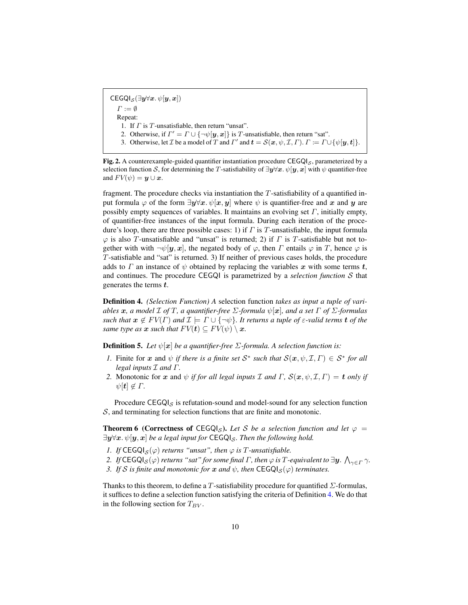$CEGQI_{\mathcal{S}}(\exists \boldsymbol{y} \forall \boldsymbol{x}.\ \psi[\boldsymbol{y},\boldsymbol{x}])$  $\Gamma := \emptyset$ Repeat: 1. If  $\Gamma$  is  $T$ -unsatisfiable, then return "unsat". 2. Otherwise, if  $\Gamma' = \Gamma \cup \{\neg \psi[\mathbf{y}, \mathbf{x}]\}$  is T-unsatisfiable, then return "sat". 3. Otherwise, let  $\mathcal I$  be a model of  $T$  and  $T'$  and  $t = \mathcal S(\mathbf x, \psi, \mathcal I, \Gamma)$ .  $\Gamma := \Gamma \cup \{\psi[\mathbf y, \mathbf t]\}.$ 

<span id="page-9-0"></span>Fig. 2. A counterexample-guided quantifier instantiation procedure  $CEGQI<sub>S</sub>$ , parameterized by a selection function S, for determining the T-satisfiability of  $\exists y \forall x \ldotp \psi[y, x]$  with  $\psi$  quantifier-free and  $F V(\psi) = y \cup x$ .

fragment. The procedure checks via instantiation the  $T$ -satisfiability of a quantified input formula  $\varphi$  of the form  $\exists y \forall x \cdot \psi[x, y]$  where  $\psi$  is quantifier-free and x and y are possibly empty sequences of variables. It maintains an evolving set  $\Gamma$ , initially empty, of quantifier-free instances of the input formula. During each iteration of the procedure's loop, there are three possible cases: 1) if  $\Gamma$  is  $T$ -unsatisfiable, the input formula  $\varphi$  is also T-unsatisfiable and "unsat" is returned; 2) if  $\Gamma$  is T-satisfiable but not together with with  $\neg\psi[\mathbf{y}, \mathbf{x}]$ , the negated body of  $\varphi$ , then  $\Gamma$  entails  $\varphi$  in  $T$ , hence  $\varphi$  is T-satisfiable and "sat" is returned. 3) If neither of previous cases holds, the procedure adds to  $\Gamma$  an instance of  $\psi$  obtained by replacing the variables x with some terms t, and continues. The procedure CEGQI is parametrized by a *selection function* S that generates the terms t.

<span id="page-9-1"></span>Definition 4. *(Selection Function) A* selection function *takes as input a tuple of variables* x*, a model* I *of* T*, a quantifier-free* Σ*-formula* ψ[x]*, and a set* Γ *of* Σ*-formulas such that*  $x \notin FV(\Gamma)$  *and*  $\mathcal{I} \models \Gamma \cup \{\neg \psi\}$ *. It returns a tuple of*  $\varepsilon$ -valid terms **t** of the *same type as*  $x$  *such that*  $F V(t) \subseteq F V(\psi) \setminus x$ .

**Definition 5.** *Let*  $\psi[\mathbf{x}]$  *be a quantifier-free*  $\Sigma$ -formula. A selection function is:

- *1.* Finite for x and  $\psi$  *if there is a finite set*  $S^*$  *such that*  $S(x, \psi, \mathcal{I}, \Gamma) \in S^*$  *for all legal inputs* I *and* Γ*.*
- *2.* Monotonic for x and  $\psi$  *if for all legal inputs*  $\mathcal I$  *and*  $\Gamma$ *,*  $\mathcal S(x, \psi, \mathcal I, \Gamma) = t$  *only if*  $\psi[t] \notin \Gamma$ .

Procedure  $CEGQI_S$  is refutation-sound and model-sound for any selection function S, and terminating for selection functions that are finite and monotonic.

**Theorem 6 (Correctness of CEGQI<sub>S</sub>).** Let S be a selection function and let  $\varphi$  =  $\exists y \forall x. \psi[y, x]$  *be a legal input for* CEGQI<sub>S</sub>. Then the following hold.

- *1. If*  $\mathsf{CEGQI}_{\mathcal{S}}(\varphi)$  *returns "unsat", then*  $\varphi$  *is*  $T$ *-unsatisfiable.*
- 2. If  $\mathsf{CEGQI}_\mathcal{S}(\varphi)$  returns "sat" for some final  $\Gamma$ , then  $\varphi$  is  $T$ -equivalent to  $\exists \bm{y}. \, \bigwedge_{\gamma \in \Gamma} \gamma.$
- *3. If* S *is finite and monotonic for* x *and*  $\psi$ , *then* CEGQI<sub>S</sub>( $\varphi$ ) *terminates.*

Thanks to this theorem, to define a T-satisfiability procedure for quantified  $\Sigma$ -formulas, it suffices to define a selection function satisfying the criteria of Definition [4.](#page-9-1) We do that in the following section for  $T_{BV}$ .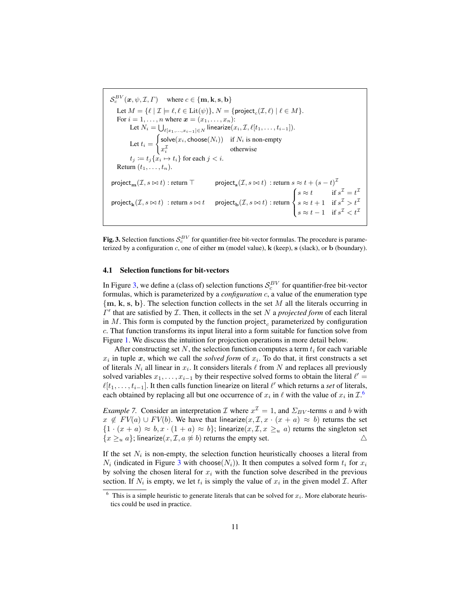$\mathcal{S}_c^{BV}(\boldsymbol{x},\psi, \mathcal{I}, \Gamma)$  where  $c \in \{\mathbf{m}, \mathbf{k}, \mathbf{s}, \mathbf{b}\}\$ Let  $M = \{ \ell \mid \mathcal{I} \models \ell, \ell \in \text{Lit}(\psi) \}, N = \{\text{project}_c(\mathcal{I}, \ell) \mid \ell \in M \}.$ For  $i = 1, \ldots, n$  where  $\boldsymbol{x} = (x_1, \ldots, x_n)$ : Let  $N_i = \bigcup_{\ell [x_1,...,x_{i-1}] \in N}$  linearize $(x_i, \mathcal{I}, \ell [t_1, \ldots, t_{i-1}]).$ Let  $t_i =$  $\int$  solve $(x_i, \text{choose}(N_i))$  if  $N_i$  is non-empty  $x_i^{\mathcal{I}}$  otherwise  $t_j \coloneqq t_j \{x_i \mapsto t_i\}$  for each  $j < i$ . Return  $(t_1, \ldots, t_n)$ .  $\mathsf{project}_\mathbf{m}(\mathcal{I}, s \bowtie t) : \mathsf{return} \top \qquad \qquad \mathsf{project}_\mathbf{s}(\mathcal{I}, s \bowtie t) : \mathsf{return} \ s \approx t + (s - t)^{\mathcal{I}}$  $\mathsf{project}_{\mathbf{k}}(\mathcal{I},s\bowtie t)$  : return  $s\bowtie t$  project $_{\mathbf{b}}(\mathcal{I},s\bowtie t)$  : return  $\sqrt{ }$  $\int$  $\mathcal{L}$  $s \approx t$  if  $s^{\mathcal{I}} = t^{\mathcal{I}}$  $s \approx t + 1$  if  $s^{\mathcal{I}} > t^{\mathcal{I}}$  $s \approx t - 1$  if  $s^{\mathcal{I}} < t^{\mathcal{I}}$ 

<span id="page-10-0"></span>**Fig. 3.** Selection functions  $S_c^{BV}$  for quantifier-free bit-vector formulas. The procedure is parameterized by a configuration  $c$ , one of either  $m$  (model value),  $k$  (keep),  $s$  (slack), or  $b$  (boundary).

#### 4.1 Selection functions for bit-vectors

In Figure [3,](#page-10-0) we define a (class of) selection functions  $S_c^{BV}$  for quantifier-free bit-vector formulas, which is parameterized by a *configuration* c, a value of the enumeration type  ${m, k, s, b}$ . The selection function collects in the set M all the literals occurring in  $\Gamma'$  that are satisfied by  $\mathcal I$ . Then, it collects in the set  $N$  a *projected form* of each literal in  $M$ . This form is computed by the function project, parameterized by configuration c. That function transforms its input literal into a form suitable for function solve from Figure [1.](#page-4-1) We discuss the intuition for projection operations in more detail below.

After constructing set N, the selection function computes a term  $t_i$  for each variable  $x_i$  in tuple x, which we call the *solved form* of  $x_i$ . To do that, it first constructs a set of literals  $N_i$  all linear in  $x_i$ . It considers literals  $\ell$  from N and replaces all previously solved variables  $x_1, \ldots, x_{i-1}$  by their respective solved forms to obtain the literal  $\ell' =$  $\ell[t_1, \ldots, t_{i-1}]$ . It then calls function linearize on literal  $\ell'$  which returns a *set* of literals, each obtained by replacing all but one occurrence of  $x_i$  in  $\ell$  with the value of  $x_i$  in  $\mathcal{I}$ .<sup>[6](#page-10-1)</sup>

*Example 7.* Consider an interpretation  $\mathcal I$  where  $x^{\mathcal I} = 1$ , and  $\Sigma_{BV}$ -terms a and b with  $x \notin FV(a) \cup FV(b)$ . We have that linearize $(x, \mathcal{I}, x \cdot (x + a) \approx b)$  returns the set  ${1 \cdot (x + a) \approx b, x \cdot (1 + a) \approx b}$ ; linearize $(x, \mathcal{I}, x \geq u)$  returns the singleton set  ${x \geq_u a}$ ; linearize $(x, \mathcal{I}, a \not\approx b)$  returns the empty set.  $\triangle$ 

If the set  $N_i$  is non-empty, the selection function heuristically chooses a literal from  $N_i$  (indicated in Figure [3](#page-10-0) with choose( $N_i$ )). It then computes a solved form  $t_i$  for  $x_i$ by solving the chosen literal for  $x_i$  with the function solve described in the previous section. If  $N_i$  is empty, we let  $t_i$  is simply the value of  $x_i$  in the given model  $\mathcal{I}$ . After

<span id="page-10-1"></span><sup>&</sup>lt;sup>6</sup> This is a simple heuristic to generate literals that can be solved for  $x_i$ . More elaborate heuristics could be used in practice.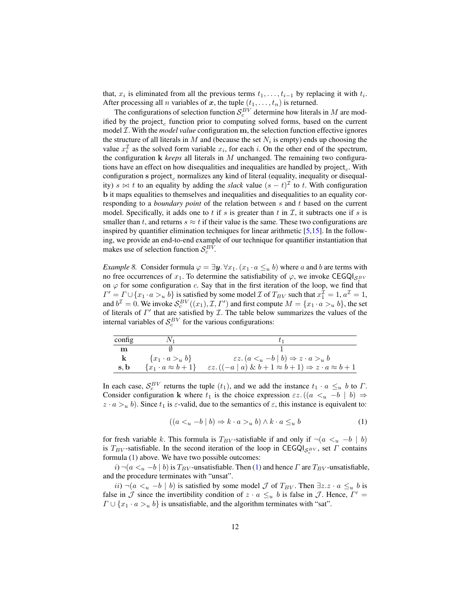that,  $x_i$  is eliminated from all the previous terms  $t_1, \ldots, t_{i-1}$  by replacing it with  $t_i$ . After processing all *n* variables of *x*, the tuple  $(t_1, \ldots, t_n)$  is returned.

The configurations of selection function  $S_c^{BV}$  determine how literals in M are modified by the project<sub>c</sub> function prior to computing solved forms, based on the current model I. With the *model value* configuration m, the selection function effective ignores the structure of all literals in M and (because the set  $N_i$  is empty) ends up choosing the value  $x_i^{\mathcal{I}}$  as the solved form variable  $x_i$ , for each i. On the other end of the spectrum, the configuration k *keeps* all literals in M unchanged. The remaining two configurations have an effect on how disequalities and inequalities are handled by  $project_c$ . With configuration s project<sub>c</sub> normalizes any kind of literal (equality, inequality or disequality)  $s \bowtie t$  to an equality by adding the *slack* value  $(s - t)^{\mathcal{I}}$  to t. With configuration b it maps equalities to themselves and inequalities and disequalities to an equality corresponding to a *boundary point* of the relation between s and t based on the current model. Specifically, it adds one to  $t$  if  $s$  is greater than  $t$  in  $\mathcal{I}$ , it subtracts one if  $s$  is smaller than t, and returns  $s \approx t$  if their value is the same. These two configurations are inspired by quantifier elimination techniques for linear arithmetic  $[5,15]$  $[5,15]$ . In the following, we provide an end-to-end example of our technique for quantifier instantiation that makes use of selection function  $S_c^{BV}$ .

*Example 8.* Consider formula  $\varphi = \exists y \forall x_1. (x_1 \cdot a \leq u b)$  where a and b are terms with no free occurrences of  $x_1$ . To determine the satisfiability of  $\varphi$ , we invoke CEGQI<sub>S</sub><sup>BV</sup> on  $\varphi$  for some configuration c. Say that in the first iteration of the loop, we find that  $\Gamma' = \Gamma \cup \{x_1 \cdot a >_u b\}$  is satisfied by some model  $\mathcal I$  of  $T_{BV}$  such that  $x_1^{\mathcal I} = 1$ ,  $a^{\mathcal I} = 1$ , and  $b^{\mathcal{I}} = 0$ . We invoke  $\mathcal{S}^{BV}_c((x_1), \mathcal{I}, \Gamma')$  and first compute  $M = \{x_1 \cdot a >_u b\}$ , the set of literals of  $\Gamma'$  that are satisfied by  $\mathcal I$ . The table below summarizes the values of the internal variables of  $S_c^{BV}$  for the various configurations:

| config |                               |                                                                                  |
|--------|-------------------------------|----------------------------------------------------------------------------------|
| m      |                               |                                                                                  |
| k.     | $\{x_1 \cdot a >_u b\}$       | $\epsilon z. (a u -b   b) \Rightarrow z \cdot a >_{u} b$                         |
| s, b   | $\{x_1 \cdot a \approx b+1\}$ | $\epsilon z. ((-a \mid a) \& b+1 \approx b+1) \Rightarrow z \cdot a \approx b+1$ |

In each case,  $S_c^{BV}$  returns the tuple  $(t_1)$ , and we add the instance  $t_1 \cdot a \leq u b$  to  $\Gamma$ . Consider configuration k where  $t_1$  is the choice expression  $\epsilon z$ .  $((a \lt u -b \mid b) \Rightarrow$  $z \cdot a >_u b$ ). Since  $t_1$  is  $\varepsilon$ -valid, due to the semantics of  $\varepsilon$ , this instance is equivalent to:

<span id="page-11-0"></span>
$$
((a <_u -b \mid b) \Rightarrow k \cdot a >_u b) \land k \cdot a \leq_u b \tag{1}
$$

for fresh variable k. This formula is  $T_{BV}$ -satisfiable if and only if  $\neg(a \leq_u -b \mid b)$ is  $T_{BV}$ -satisfiable. In the second iteration of the loop in CEGQI<sub>S<sub>c</sub><sub>E</sub>v, set  $\Gamma$  contains</sub> formula [\(1\)](#page-11-0) above. We have two possible outcomes:

 $i)$   $\neg(a \lt u - b \mid b)$  is  $T_{BV}$ -unsatisfiable. Then [\(1\)](#page-11-0) and hence  $\Gamma$  are  $T_{BV}$ -unsatisfiable, and the procedure terminates with "unsat".

*ii*)  $\neg(a \lt u -b \mid b)$  is satisfied by some model *J* of  $T_{BV}$ . Then  $\exists z. z \cdot a \leq u b$  is false in  $\mathcal J$  since the invertibility condition of  $z \cdot a \leq u \, b$  is false in  $\mathcal J$ . Hence,  $\Gamma' =$  $\Gamma \cup \{x_1 \cdot a >_u b\}$  is unsatisfiable, and the algorithm terminates with "sat".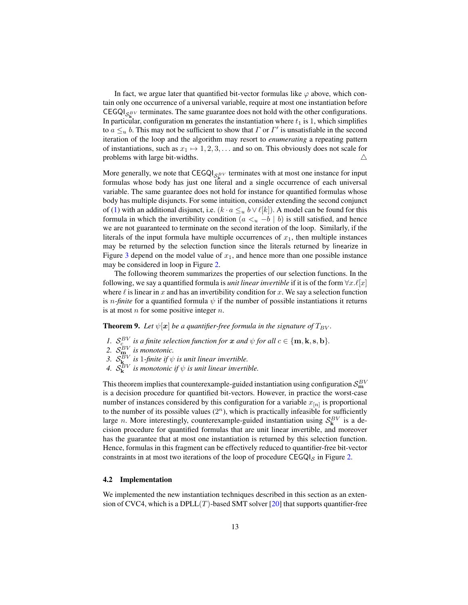In fact, we argue later that quantified bit-vector formulas like  $\varphi$  above, which contain only one occurrence of a universal variable, require at most one instantiation before CEGQI<sub>S<sup>BV</sub></sup> terminates. The same guarantee does not hold with the other configurations.</sub> In particular, configuration m generates the instantiation where  $t_1$  is 1, which simplifies to  $a \leq_u b$ . This may not be sufficient to show that  $\Gamma$  or  $\Gamma'$  is unsatisfiable in the second iteration of the loop and the algorithm may resort to *enumerating* a repeating pattern of instantiations, such as  $x_1 \mapsto 1, 2, 3, \ldots$  and so on. This obviously does not scale for problems with large bit-widths.  $\triangle$ 

More generally, we note that  $CEGQ|_{S_{\kappa}^{BV}}$  terminates with at most one instance for input formulas whose body has just one literal and a single occurrence of each universal variable. The same guarantee does not hold for instance for quantified formulas whose body has multiple disjuncts. For some intuition, consider extending the second conjunct of [\(1\)](#page-11-0) with an additional disjunct, i.e.  $(k \cdot a \leq u b \vee \ell[k])$ . A model can be found for this formula in which the invertibility condition  $(a \lt u -b \mid b)$  is still satisfied, and hence we are not guaranteed to terminate on the second iteration of the loop. Similarly, if the literals of the input formula have multiple occurrences of  $x_1$ , then multiple instances may be returned by the selection function since the literals returned by linearize in Figure [3](#page-10-0) depend on the model value of  $x_1$ , and hence more than one possible instance may be considered in loop in Figure [2.](#page-9-0)

The following theorem summarizes the properties of our selection functions. In the following, we say a quantified formula is *unit linear invertible* if it is of the form  $\forall x.\ell[x]$ where  $\ell$  is linear in x and has an invertibility condition for x. We say a selection function is *n-finite* for a quantified formula  $\psi$  if the number of possible instantiations it returns is at most  $n$  for some positive integer  $n$ .

<span id="page-12-1"></span>**Theorem 9.** Let  $\psi[\mathbf{x}]$  be a quantifier-free formula in the signature of  $T_{BV}$ .

- *1.*  $S_c^{BV}$  is a finite selection function for x and  $\psi$  for all  $c \in \{\mathbf{m}, \mathbf{k}, \mathbf{s}, \mathbf{b}\}.$
- 2.  $S_{\mathbf{m}_1}^{BV}$  is monotonic.
- 3.  $S_{\mathbf{k}}^{BV}$  *is* 1-finite if  $\psi$  *is unit linear invertible.*
- *4.*  $\mathcal{S}_{\mathbf{k}}^{BV}$  is monotonic if  $\psi$  is unit linear invertible.

This theorem implies that counterexample-guided instantiation using configuration  $\mathcal{S}_{\mathbf{m}}^{BV}$ is a decision procedure for quantified bit-vectors. However, in practice the worst-case number of instances considered by this configuration for a variable  $x_{[n]}$  is proportional to the number of its possible values  $(2^n)$ , which is practically infeasible for sufficiently large *n*. More interestingly, counterexample-guided instantiation using  $S_{\mathbf{k}}^{BV}$  is a decision procedure for quantified formulas that are unit linear invertible, and moreover has the guarantee that at most one instantiation is returned by this selection function. Hence, formulas in this fragment can be effectively reduced to quantifier-free bit-vector constraints in at most two iterations of the loop of procedure  $CEGQI<sub>S</sub>$  in Figure [2.](#page-9-0)

#### <span id="page-12-0"></span>4.2 Implementation

We implemented the new instantiation techniques described in this section as an extension of CVC4, which is a DPLL $(T)$ -based SMT solver [\[20\]](#page-17-12) that supports quantifier-free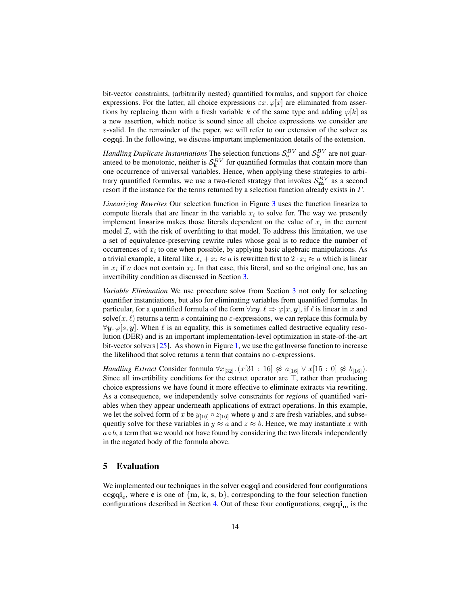bit-vector constraints, (arbitrarily nested) quantified formulas, and support for choice expressions. For the latter, all choice expressions  $\varepsilon x$ .  $\varphi[x]$  are eliminated from assertions by replacing them with a fresh variable k of the same type and adding  $\varphi[k]$  as a new assertion, which notice is sound since all choice expressions we consider are  $\varepsilon$ -valid. In the remainder of the paper, we will refer to our extension of the solver as cegqi. In the following, we discuss important implementation details of the extension.

*Handling Duplicate Instantiations* The selection functions  $S_s^{BV}$  and  $S_b^{BV}$  are not guaranteed to be monotonic, neither is  $S_k^{BV}$  for quantified formulas that contain more than one occurrence of universal variables. Hence, when applying these strategies to arbitrary quantified formulas, we use a two-tiered strategy that invokes  $S_{\mathbf{m}}^{BV}$  as a second resort if the instance for the terms returned by a selection function already exists in Γ.

*Linearizing Rewrites* Our selection function in Figure [3](#page-10-0) uses the function linearize to compute literals that are linear in the variable  $x_i$  to solve for. The way we presently implement linearize makes those literals dependent on the value of  $x_i$  in the current model  $I$ , with the risk of overfitting to that model. To address this limitation, we use a set of equivalence-preserving rewrite rules whose goal is to reduce the number of occurrences of  $x_i$  to one when possible, by applying basic algebraic manipulations. As a trivial example, a literal like  $x_i + x_i \approx a$  is rewritten first to  $2 \cdot x_i \approx a$  which is linear in  $x_i$  if a does not contain  $x_i$ . In that case, this literal, and so the original one, has an invertibility condition as discussed in Section [3.](#page-3-1)

*Variable Elimination* We use procedure solve from Section [3](#page-3-1) not only for selecting quantifier instantiations, but also for eliminating variables from quantified formulas. In particular, for a quantified formula of the form  $\forall xy \in \ell \Rightarrow \varphi[x, y]$ , if  $\ell$  is linear in x and solve $(x, \ell)$  returns a term s containing no  $\varepsilon$ -expressions, we can replace this formula by  $\forall y$ .  $\varphi$ [s, y]. When  $\ell$  is an equality, this is sometimes called destructive equality resolution (DER) and is an important implementation-level optimization in state-of-the-art bit-vector solvers  $[25]$ . As shown in Figure [1,](#page-4-1) we use the getInverse function to increase the likelihood that solve returns a term that contains no  $\varepsilon$ -expressions.

*Handling Extract* Consider formula  $\forall x_{[32]}$ .  $(x[31 : 16] \not\approx a_{[16]} \vee x[15 : 0] \not\approx b_{[16]}$ . Since all invertibility conditions for the extract operator are  $\top$ , rather than producing choice expressions we have found it more effective to eliminate extracts via rewriting. As a consequence, we independently solve constraints for *regions* of quantified variables when they appear underneath applications of extract operations. In this example, we let the solved form of x be  $y_{[16]} \circ z_{[16]}$  where y and z are fresh variables, and subsequently solve for these variables in  $y \approx a$  and  $z \approx b$ . Hence, we may instantiate x with  $a \circ b$ , a term that we would not have found by considering the two literals independently in the negated body of the formula above.

## 5 Evaluation

We implemented our techniques in the solver cegqi and considered four configurations  $cegqi_c$ , where **c** is one of  $\{m, k, s, b\}$ , corresponding to the four selection function configurations described in Section [4.](#page-8-0) Out of these four configurations,  $cegqi<sub>m</sub>$  is the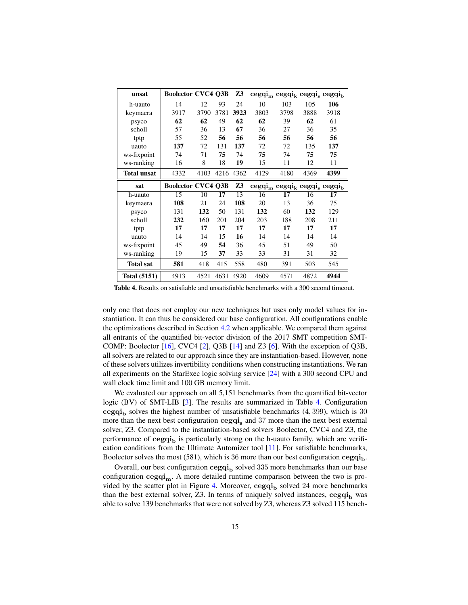| unsat               | <b>Boolector CVC4 Q3B</b> |      |      | Z3        | $cegqim cegqik cegqis cegqib$     |      |      |      |
|---------------------|---------------------------|------|------|-----------|-----------------------------------|------|------|------|
| h-uauto             | 14                        | 12   | 93   | 24        | 10                                | 103  | 105  | 106  |
| keymaera            | 3917                      | 3790 | 3781 | 3923      | 3803                              | 3798 | 3888 | 3918 |
| psyco               | 62                        | 62   | 49   | 62        | 62                                | 39   | 62   | 61   |
| scholl              | 57                        | 36   | 13   | 67        | 36                                | 27   | 36   | 35   |
| tptp                | 55                        | 52   | 56   | 56        | 56                                | 56   | 56   | 56   |
| uauto               | 137                       | 72   | 131  | 137       | 72                                | 72   | 135  | 137  |
| ws-fixpoint         | 74                        | 71   | 75   | 74        | 75                                | 74   | 75   | 75   |
| ws-ranking          | 16                        | 8    | 18   | 19        | 15                                | 11   | 12   | 11   |
| <b>Total unsat</b>  | 4332                      | 4103 |      | 4216 4362 | 4129                              | 4180 | 4369 | 4399 |
| sat                 | <b>Boolector CVC4 Q3B</b> |      |      | Z3        | $cegqi_m cegqi_k cegqi_s cegqi_b$ |      |      |      |
| h-uauto             | 15                        | 10   | 17   | 13        | 16                                | 17   | 16   | 17   |
| keymaera            | 108                       | 21   | 24   | 108       | 20                                | 13   | 36   | 75   |
| psyco               | 131                       | 132  | 50   | 131       | 132                               | 60   | 132  | 129  |
| scholl              | 232                       | 160  | 201  | 204       | 203                               | 188  | 208  | 211  |
| tptp                | 17                        | 17   | 17   | 17        | 17                                | 17   | 17   | 17   |
| uauto               | 14                        | 14   | 15   | 16        | 14                                | 14   | 14   | 14   |
| ws-fixpoint         | 45                        | 49   | 54   | 36        | 45                                | 51   | 49   | 50   |
| ws-ranking          | 19                        | 15   | 37   | 33        | 33                                | 31   | 31   | 32   |
| <b>Total sat</b>    | 581                       | 418  | 415  | 558       | 480                               | 391  | 503  | 545  |
| <b>Total (5151)</b> | 4913                      | 4521 | 4631 | 4920      | 4609                              | 4571 | 4872 | 4944 |

<span id="page-14-0"></span>Table 4. Results on satisfiable and unsatisfiable benchmarks with a 300 second timeout.

only one that does not employ our new techniques but uses only model values for instantiation. It can thus be considered our base configuration. All configurations enable the optimizations described in Section [4.2](#page-12-0) when applicable. We compared them against all entrants of the quantified bit-vector division of the 2017 SMT competition SMT-COMP: Boolector  $[16]$ , CVC4  $[2]$ , Q3B  $[14]$  and Z3  $[6]$ . With the exception of Q3B, all solvers are related to our approach since they are instantiation-based. However, none of these solvers utilizes invertibility conditions when constructing instantiations. We ran all experiments on the StarExec logic solving service [\[24\]](#page-17-13) with a 300 second CPU and wall clock time limit and 100 GB memory limit.

We evaluated our approach on all 5,151 benchmarks from the quantified bit-vector logic (BV) of SMT-LIB [\[3\]](#page-16-1). The results are summarized in Table [4.](#page-14-0) Configuration cegqi<sub>b</sub> solves the highest number of unsatisfiable benchmarks  $(4, 399)$ , which is 30 more than the next best configuration  $cegqi_s$  and 37 more than the next best external solver, Z3. Compared to the instantiation-based solvers Boolector, CVC4 and Z3, the performance of  $cegqi<sub>b</sub>$  is particularly strong on the h-uauto family, which are verification conditions from the Ultimate Automizer tool [\[11\]](#page-16-10). For satisfiable benchmarks, Boolector solves the most (581), which is 36 more than our best configuration  $cegqi_h$ .

Overall, our best configuration  $cegqi_b$  solved 335 more benchmarks than our base configuration  $cegqi_m$ . A more detailed runtime comparison between the two is pro-vided by the scatter plot in Figure [4.](#page-15-0) Moreover,  $cegqi<sub>b</sub>$  solved 24 more benchmarks than the best external solver, Z3. In terms of uniquely solved instances,  $cegqi_b$  was able to solve 139 benchmarks that were not solved by Z3, whereas Z3 solved 115 bench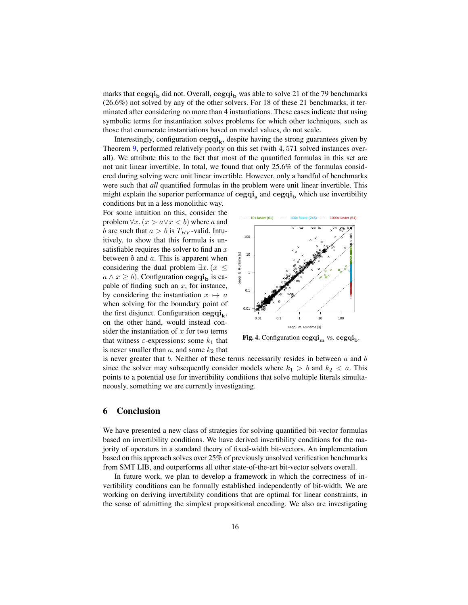marks that cegqi<sub>b</sub> did not. Overall, cegqi<sub>b</sub> was able to solve 21 of the 79 benchmarks (26.6%) not solved by any of the other solvers. For 18 of these 21 benchmarks, it terminated after considering no more than 4 instantiations. These cases indicate that using symbolic terms for instantiation solves problems for which other techniques, such as those that enumerate instantiations based on model values, do not scale.

Interestingly, configuration  $cegqi_k$ , despite having the strong guarantees given by Theorem [9,](#page-12-1) performed relatively poorly on this set (with 4, 571 solved instances overall). We attribute this to the fact that most of the quantified formulas in this set are not unit linear invertible. In total, we found that only 25.6% of the formulas considered during solving were unit linear invertible. However, only a handful of benchmarks were such that *all* quantified formulas in the problem were unit linear invertible. This might explain the superior performance of cegqi<sub>s</sub> and cegqi<sub>b</sub> which use invertibility conditions but in a less monolithic way.

For some intuition on this, consider the problem  $\forall x. (x > a \lor x < b)$  where a and b are such that  $a > b$  is  $T_{BV}$ -valid. Intuitively, to show that this formula is unsatisfiable requires the solver to find an  $x$ between  $b$  and  $a$ . This is apparent when considering the dual problem  $\exists x. (x \leq$  $a \wedge x \geq b$ ). Configuration cegqi<sub>b</sub> is capable of finding such an  $x$ , for instance, by considering the instantiation  $x \mapsto a$ when solving for the boundary point of the first disjunct. Configuration  $\text{cegqi}_k$ , on the other hand, would instead consider the instantiation of  $x$  for two terms that witness  $\varepsilon$ -expressions: some  $k_1$  that is never smaller than  $a$ , and some  $k_2$  that



<span id="page-15-0"></span>Fig. 4. Configuration cegqi<sub>m</sub> vs. cegqi<sub>b</sub>.

is never greater that b. Neither of these terms necessarily resides in between  $a$  and  $b$ since the solver may subsequently consider models where  $k_1 > b$  and  $k_2 < a$ . This points to a potential use for invertibility conditions that solve multiple literals simultaneously, something we are currently investigating.

### 6 Conclusion

We have presented a new class of strategies for solving quantified bit-vector formulas based on invertibility conditions. We have derived invertibility conditions for the majority of operators in a standard theory of fixed-width bit-vectors. An implementation based on this approach solves over 25% of previously unsolved verification benchmarks from SMT LIB, and outperforms all other state-of-the-art bit-vector solvers overall.

In future work, we plan to develop a framework in which the correctness of invertibility conditions can be formally established independently of bit-width. We are working on deriving invertibility conditions that are optimal for linear constraints, in the sense of admitting the simplest propositional encoding. We also are investigating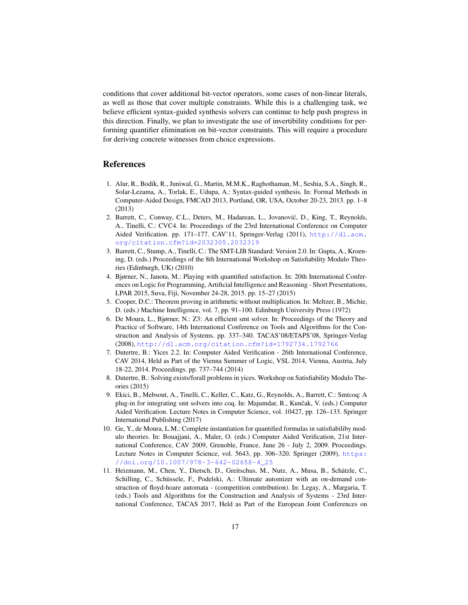conditions that cover additional bit-vector operators, some cases of non-linear literals, as well as those that cover multiple constraints. While this is a challenging task, we believe efficient syntax-guided synthesis solvers can continue to help push progress in this direction. Finally, we plan to investigate the use of invertibility conditions for performing quantifier elimination on bit-vector constraints. This will require a procedure for deriving concrete witnesses from choice expressions.

### References

- <span id="page-16-2"></span>1. Alur, R., Bodík, R., Juniwal, G., Martin, M.M.K., Raghothaman, M., Seshia, S.A., Singh, R., Solar-Lezama, A., Torlak, E., Udupa, A.: Syntax-guided synthesis. In: Formal Methods in Computer-Aided Design, FMCAD 2013, Portland, OR, USA, October 20-23, 2013. pp. 1–8 (2013)
- <span id="page-16-3"></span>2. Barrett, C., Conway, C.L., Deters, M., Hadarean, L., Jovanovic, D., King, T., Reynolds, ´ A., Tinelli, C.: CVC4. In: Proceedings of the 23rd International Conference on Computer Aided Verification. pp. 171–177. CAV'11, Springer-Verlag (2011), [http://dl.acm.](http://dl.acm.org/citation.cfm?id=2032305.2032319) [org/citation.cfm?id=2032305.2032319](http://dl.acm.org/citation.cfm?id=2032305.2032319)
- <span id="page-16-1"></span>3. Barrett, C., Stump, A., Tinelli, C.: The SMT-LIB Standard: Version 2.0. In: Gupta, A., Kroening, D. (eds.) Proceedings of the 8th International Workshop on Satisfiability Modulo Theories (Edinburgh, UK) (2010)
- <span id="page-16-7"></span>4. Bjørner, N., Janota, M.: Playing with quantified satisfaction. In: 20th International Conferences on Logic for Programming, Artificial Intelligence and Reasoning - Short Presentations, LPAR 2015, Suva, Fiji, November 24-28, 2015. pp. 15–27 (2015)
- <span id="page-16-9"></span>5. Cooper, D.C.: Theorem proving in arithmetic without multiplication. In: Meltzer, B., Michie, D. (eds.) Machine Intelligence, vol. 7, pp. 91–100. Edinburgh University Press (1972)
- <span id="page-16-5"></span>6. De Moura, L., Bjørner, N.: Z3: An efficient smt solver. In: Proceedings of the Theory and Practice of Software, 14th International Conference on Tools and Algorithms for the Construction and Analysis of Systems. pp. 337–340. TACAS'08/ETAPS'08, Springer-Verlag (2008), <http://dl.acm.org/citation.cfm?id=1792734.1792766>
- <span id="page-16-4"></span>7. Dutertre, B.: Yices 2.2. In: Computer Aided Verification - 26th International Conference, CAV 2014, Held as Part of the Vienna Summer of Logic, VSL 2014, Vienna, Austria, July 18-22, 2014. Proceedings. pp. 737–744 (2014)
- <span id="page-16-0"></span>8. Dutertre, B.: Solving exists/forall problems in yices. Workshop on Satisfiability Modulo Theories (2015)
- <span id="page-16-8"></span>9. Ekici, B., Mebsout, A., Tinelli, C., Keller, C., Katz, G., Reynolds, A., Barrett, C.: Smtcoq: A plug-in for integrating smt solvers into coq. In: Majumdar, R., Kunčak, V. (eds.) Computer Aided Verification. Lecture Notes in Computer Science, vol. 10427, pp. 126–133. Springer International Publishing (2017)
- <span id="page-16-6"></span>10. Ge, Y., de Moura, L.M.: Complete instantiation for quantified formulas in satisfiabiliby modulo theories. In: Bouajjani, A., Maler, O. (eds.) Computer Aided Verification, 21st International Conference, CAV 2009, Grenoble, France, June 26 - July 2, 2009. Proceedings. Lecture Notes in Computer Science, vol. 5643, pp. 306–320. Springer (2009), [https:](https://doi.org/10.1007/978-3-642-02658-4_25) [//doi.org/10.1007/978-3-642-02658-4\\_25](https://doi.org/10.1007/978-3-642-02658-4_25)
- <span id="page-16-10"></span>11. Heizmann, M., Chen, Y., Dietsch, D., Greitschus, M., Nutz, A., Musa, B., Schätzle, C., Schilling, C., Schüssele, F., Podelski, A.: Ultimate automizer with an on-demand construction of floyd-hoare automata - (competition contribution). In: Legay, A., Margaria, T. (eds.) Tools and Algorithms for the Construction and Analysis of Systems - 23rd International Conference, TACAS 2017, Held as Part of the European Joint Conferences on